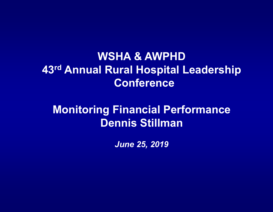## **WSHA & AWPHD43rd Annual Rural Hospital Leadership Conference**

## **Monitoring Financial Performance Dennis Stillman**

*June 25, 2019*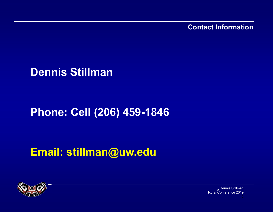**Contact Information**

**Dennis Stillman**

## **Phone: Cell (206) 459-1846**

**Email: stillman@uw.edu**



<sub>2</sub> Dennis Stillman Rural Conference 2019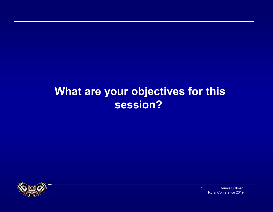## **What are your objectives for this session?**



Dennis Stillman Rural Conference 2019 3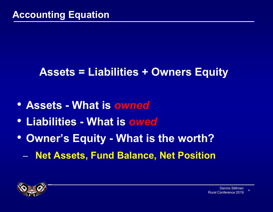## **Assets = Liabilities + Owners Equity**

- **Assets - What is** *owned*
- **Liabilities - What is** *owed*
- **Owner's Equity - What is the worth?**
	- –**Net Assets, Fund Balance, Net Position**

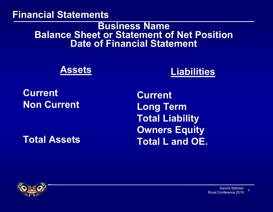#### **Financial Statements**

#### **Business Name Balance Sheet or Statement of Net Position Date of Financial Statement**

#### **Assets**

### **Liabilities**

### **CurrentNon Current**

**Total Assets**

**CurrentLong Term Total Liability Owners Equity Total L and OE.**

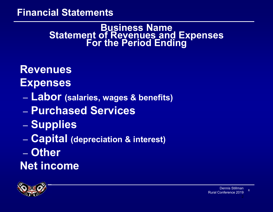#### **Financial Statements**

## **Business Name Statement of Revenues and Expenses For the Period Ending**

**Revenues Expenses**

- –**Labor (salaries, wages & benefits)**
- **Purchased Services**
- –– **Supplies**
- **Line Communication Capital (depreciation & interest)**
- **Other**

**Net income**

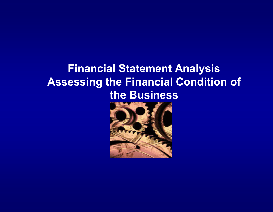## **Financial Statement Analysis Assessing the Financial Condition of the Business**

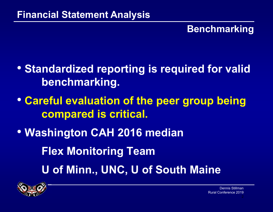### **Benchmarking**

- **Standardized reporting is required for valid benchmarking.**
- **Careful evaluation of the peer group being compared is critical.**
- **Washington CAH 2016 median**

**Flex Monitoring Team**

**U of Minn., UNC, U of South Maine**

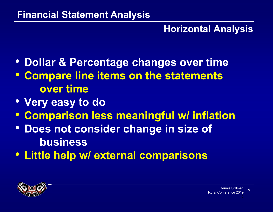### **Horizontal Analysis**

- **Dollar & Percentage changes over time**
- **Compare line items on the statements over time**
- **Very easy to do**
- **Comparison less meaningful w/ inflation**
- **Does not consider change in size of business**
- **Little help w/ external comparisons**

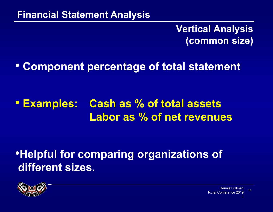### **Vertical Analysis (common size)**

### • **Component percentage of total statement**

#### **• Examples: Cash as % of total assets Labor as % of net revenues**

## •**Helpful for comparing organizations of different sizes.**

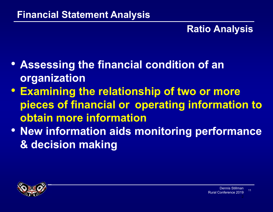### **Ratio Analysis**

- **Assessing the financial condition of an organization**
- **Examining the relationship of two or more pieces of financial or operating information to obtain more information**
- **New information aids monitoring performance & decision making**

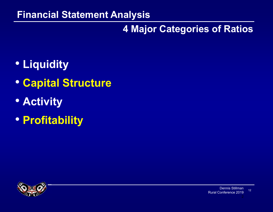### **4 Major Categories of Ratios**

- **Liquidity**
- **Capital Structure**
- **Activity**
- **Profitability**

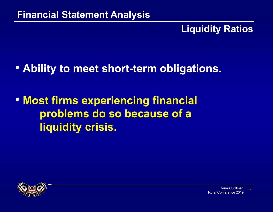### **Liquidity Ratios**

### • **Ability to meet short-term obligations.**

## • **Most firms experiencing financial problems do so because of a liquidity crisis.**

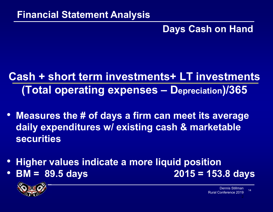### **Days Cash on Hand**

## **Cash + short term investments+ LT investments (Total operating expenses – Depreciation)/365**

- **Measures the # of days a firm can meet its average daily expenditures w/ existing cash & marketable securities**
- $\bullet$ **Higher values indicate a more liquid position**
- $\bullet$ **BM = 89.5 days 2015 = 153.8 days**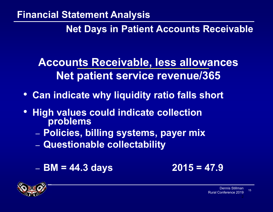**Net Days in Patient Accounts Receivable**

**Accounts Receivable, less allowances Net patient service revenue/365**

- **Can indicate why liquidity ratio falls short**
- $\bullet$  **High values could indicate collection problems**
	- **Policies, billing systems, payer mix**
	- $\mathcal{L}_{\mathcal{A}}$ **Questionable collectability**
	- **BM = 44.3 days 2015 = 47.9**



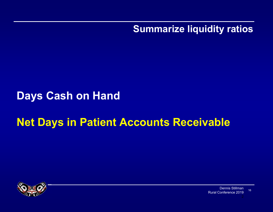**Summarize liquidity ratios**

### **Days Cash on Hand**

## **Net Days in Patient Accounts Receivable**



Dennis StillmanRural Conference 201916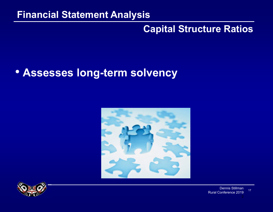### **Capital Structure Ratios**

### • **Assesses long-term solvency**



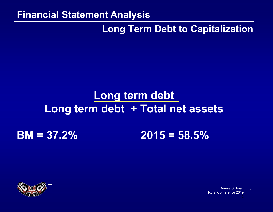### **Long Term Debt to Capitalization**

# **Long term debt Long term debt + Total net assets**

## **BM = 37.2% 2015 = 58.5%**



Dennis StillmanRural Conference 201918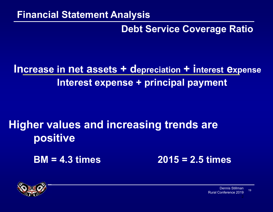### **Debt Service Coverage Ratio**

## **Increase in net assets + depreciation + interest expense Interest expense + principal payment**

## **Higher values and increasing trends are positive**

**BM = 4.3 times 2015 = 2.5 times**

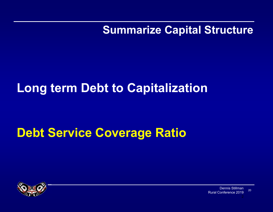**Summarize Capital Structure**

# **Long term Debt to Capitalization**

# **Debt Service Coverage Ratio**

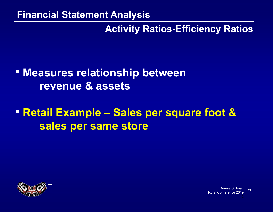### **Activity Ratios-Efficiency Ratios**

### • **Measures relationship between revenue & assets**

## • **Retail Example – Sales per square foot & sales per same store**

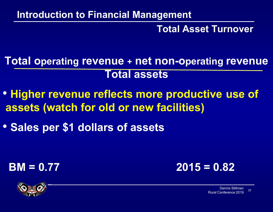### **Introduction to Financial Management**

#### **Total Asset Turnover**

**Total operating revenue + net non-operating revenue Total assets**

- **Higher revenue reflects more productive use of assets (watch for old or new facilities)**
- **Sales per \$1 dollars of assets**





Dennis StillmanRural Conference 201922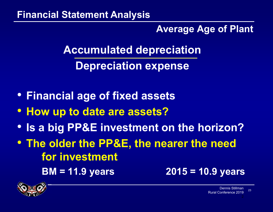### **Average Age of Plant**

**Accumulated depreciation**

**Depreciation expense**

- **Financial age of fixed assets**
- **How up to date are assets?**
- **Is a big PP&E investment on the horizon?**
- **The older the PP&E, the nearer the need for investment**

**BM = 11.9 years 2015 = 10.9 years**

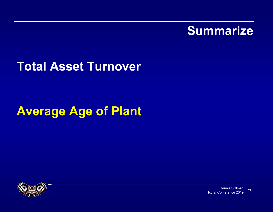

## **Total Asset Turnover**

# **Average Age of Plant**

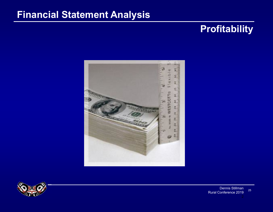### **Profitability**



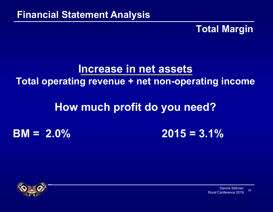### **Total Margin**

### **Increase in net assets Total operating revenue + net non-operating income**

### **How much profit do you need?**

**BM = 2.0% 2015 = 3.1%**

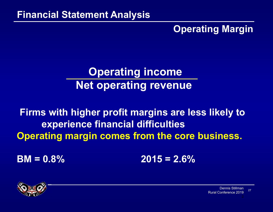### **Operating Margin**

## **Operating income Net operating revenue**

**Firms with higher profit margins are less likely to experience financial difficulties Operating margin comes from the core business.**

 $BM = 0.8\%$  **2015 = 2.6%** 



Dennis StillmanRural Conference 201927